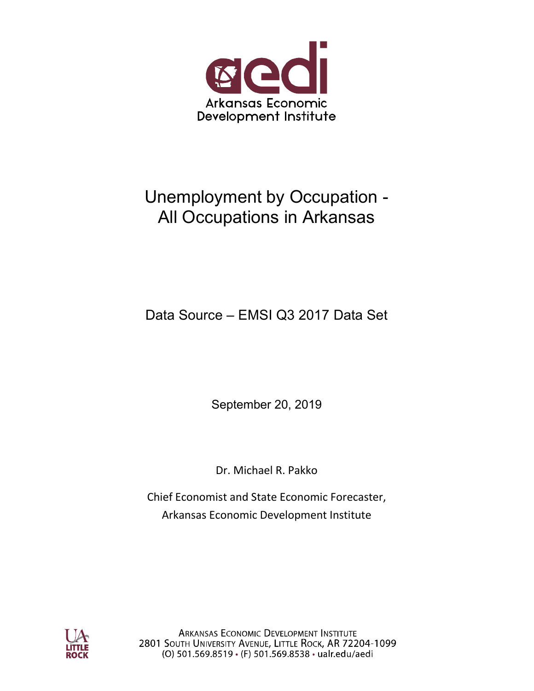

## Unemployment by Occupation - All Occupations in Arkansas

### Data Source – EMSI Q3 2017 Data Set

September 20, 2019

Dr. Michael R. Pakko

Chief Economist and State Economic Forecaster, Arkansas Economic Development Institute



**ARKANSAS ECONOMIC DEVELOPMENT INSTITUTE** 2801 SOUTH UNIVERSITY AVENUE, LITTLE ROCK, AR 72204-1099 (O) 501.569.8519 · (F) 501.569.8538 · ualr.edu/aedi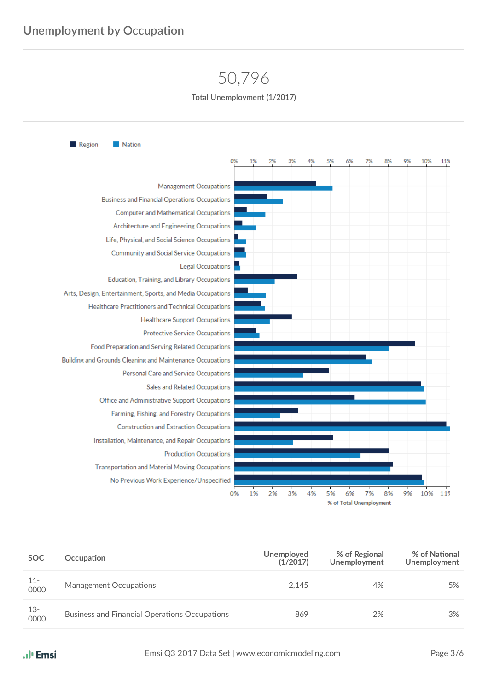## 50,796

**Total Unemployment (1/2017)**



| SOC.           | Occupation                                           | Unemployed<br>(1/2017) | % of Regional<br>Unemployment | % of National<br><b>Unemployment</b> |
|----------------|------------------------------------------------------|------------------------|-------------------------------|--------------------------------------|
| $11 -$<br>0000 | Management Occupations                               | 2.145                  | 4%                            | 5%                                   |
| $13-$<br>0000  | <b>Business and Financial Operations Occupations</b> | 869                    | 2%                            | 3%                                   |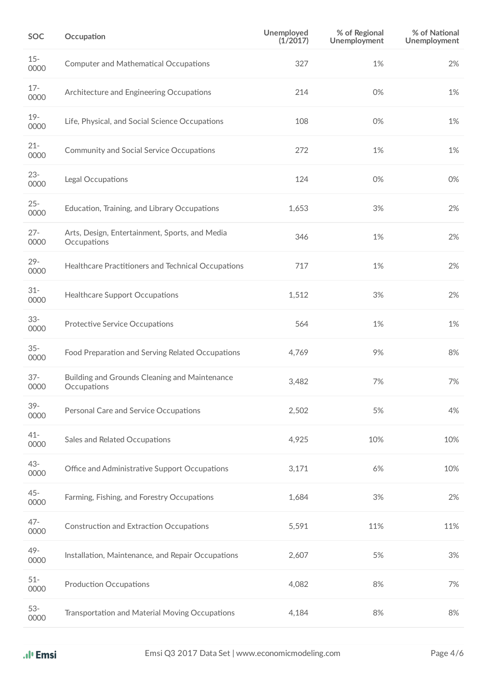| <b>SOC</b>     | Occupation                                                    | Unemployed<br>(1/2017) | % of Regional<br><b>Unemployment</b> | % of National<br>Unemployment |
|----------------|---------------------------------------------------------------|------------------------|--------------------------------------|-------------------------------|
| $15 -$<br>0000 | <b>Computer and Mathematical Occupations</b>                  | 327                    | 1%                                   | 2%                            |
| $17 -$<br>0000 | Architecture and Engineering Occupations                      | 214                    | 0%                                   | 1%                            |
| $19 -$<br>0000 | Life, Physical, and Social Science Occupations                | 108                    | 0%                                   | 1%                            |
| $21 -$<br>0000 | Community and Social Service Occupations                      | 272                    | 1%                                   | 1%                            |
| $23 -$<br>0000 | Legal Occupations                                             | 124                    | 0%                                   | 0%                            |
| $25 -$<br>0000 | Education, Training, and Library Occupations                  | 1,653                  | 3%                                   | 2%                            |
| $27 -$<br>0000 | Arts, Design, Entertainment, Sports, and Media<br>Occupations | 346                    | 1%                                   | 2%                            |
| $29 -$<br>0000 | Healthcare Practitioners and Technical Occupations            | 717                    | 1%                                   | 2%                            |
| $31 -$<br>0000 | <b>Healthcare Support Occupations</b>                         | 1,512                  | 3%                                   | 2%                            |
| $33 -$<br>0000 | <b>Protective Service Occupations</b>                         | 564                    | 1%                                   | 1%                            |
| $35 -$<br>0000 | Food Preparation and Serving Related Occupations              | 4,769                  | 9%                                   | 8%                            |
| $37 -$<br>0000 | Building and Grounds Cleaning and Maintenance<br>Occupations  | 3,482                  | 7%                                   | 7%                            |
| $39 -$<br>0000 | Personal Care and Service Occupations                         | 2,502                  | 5%                                   | 4%                            |
| $41 -$<br>0000 | Sales and Related Occupations                                 | 4,925                  | 10%                                  | 10%                           |
| 43-<br>0000    | Office and Administrative Support Occupations                 | 3,171                  | 6%                                   | 10%                           |
| $45 -$<br>0000 | Farming, Fishing, and Forestry Occupations                    | 1,684                  | 3%                                   | 2%                            |
| $47 -$<br>0000 | <b>Construction and Extraction Occupations</b>                | 5,591                  | 11%                                  | 11%                           |
| 49-<br>0000    | Installation, Maintenance, and Repair Occupations             | 2,607                  | 5%                                   | 3%                            |
| $51 -$<br>0000 | <b>Production Occupations</b>                                 | 4,082                  | 8%                                   | 7%                            |
| $53-$<br>0000  | Transportation and Material Moving Occupations                | 4,184                  | 8%                                   | 8%                            |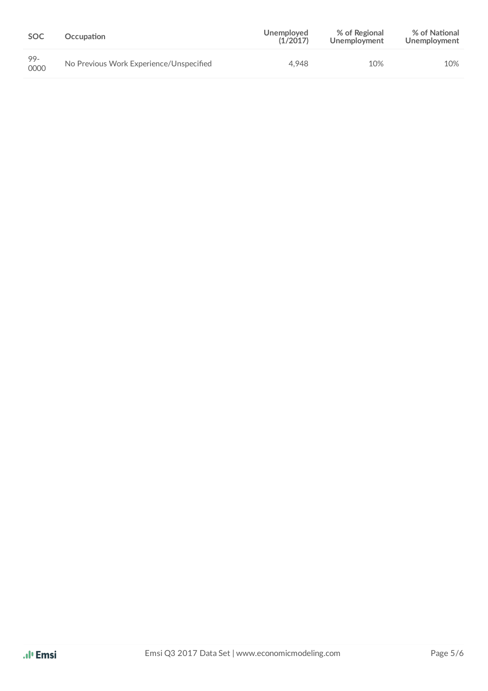| <b>SOC</b>     | Occupation                              | Unemployed<br>(1/2017) | % of Regional<br>Unemployment | % of National<br>Unemployment |
|----------------|-----------------------------------------|------------------------|-------------------------------|-------------------------------|
| $99 -$<br>0000 | No Previous Work Experience/Unspecified | 4.948                  | 10%                           | 10%                           |